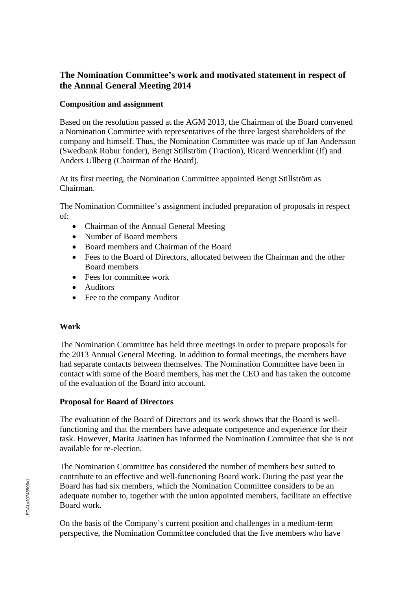# **The Nomination Committee's work and motivated statement in respect of the Annual General Meeting 2014**

### **Composition and assignment**

Based on the resolution passed at the AGM 2013, the Chairman of the Board convened a Nomination Committee with representatives of the three largest shareholders of the company and himself. Thus, the Nomination Committee was made up of Jan Andersson (Swedbank Robur fonder), Bengt Stillström (Traction), Ricard Wennerklint (If) and Anders Ullberg (Chairman of the Board).

At its first meeting, the Nomination Committee appointed Bengt Stillström as Chairman.

The Nomination Committee's assignment included preparation of proposals in respect of:

- Chairman of the Annual General Meeting
- Number of Board members
- Board members and Chairman of the Board
- Fees to the Board of Directors, allocated between the Chairman and the other Board members
- Fees for committee work
- Auditors
- Fee to the company Auditor

## **Work**

The Nomination Committee has held three meetings in order to prepare proposals for the 2013 Annual General Meeting. In addition to formal meetings, the members have had separate contacts between themselves. The Nomination Committee have been in contact with some of the Board members, has met the CEO and has taken the outcome of the evaluation of the Board into account.

## **Proposal for Board of Directors**

The evaluation of the Board of Directors and its work shows that the Board is wellfunctioning and that the members have adequate competence and experience for their task. However, Marita Jaatinen has informed the Nomination Committee that she is not available for re-election.

The Nomination Committee has considered the number of members best suited to contribute to an effective and well-functioning Board work. During the past year the Board has had six members, which the Nomination Committee considers to be an adequate number to, together with the union appointed members, facilitate an effective Board work.

On the basis of the Company's current position and challenges in a medium-term perspective, the Nomination Committee concluded that the five members who have